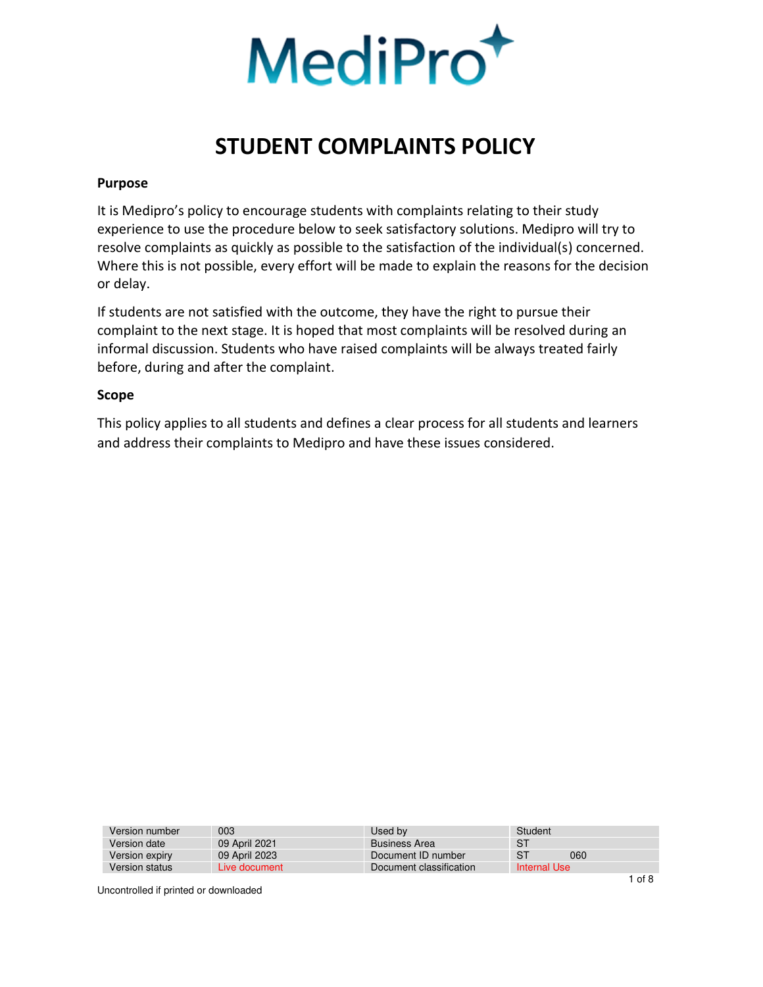

#### <span id="page-0-0"></span>**Purpose**

<span id="page-0-1"></span>It is Medipro's policy to encourage students with complaints relating to their study experience to use the procedure below to seek satisfactory solutions. Medipro will try to resolve complaints as quickly as possible to the satisfaction of the individual(s) concerned. Where this is not possible, every effort will be made to explain the reasons for the decision or delay.

If students are not satisfied with the outcome, they have the right to pursue their complaint to the next stage. It is hoped that most complaints will be resolved during an informal discussion. Students who have raised complaints will be always treated fairly before, during and after the complaint.

#### **Scope**

This policy applies to all students and defines a clear process for all students and learners and address their complaints to Medipro and have these issues considered.

| Version number | 003           | Used by                 | Student      |
|----------------|---------------|-------------------------|--------------|
| Version date   | 09 April 2021 | <b>Business Area</b>    | <b>ST</b>    |
| Version expiry | 09 April 2023 | Document ID number      | S1<br>060    |
| Version status | Live document | Document classification | Internal Use |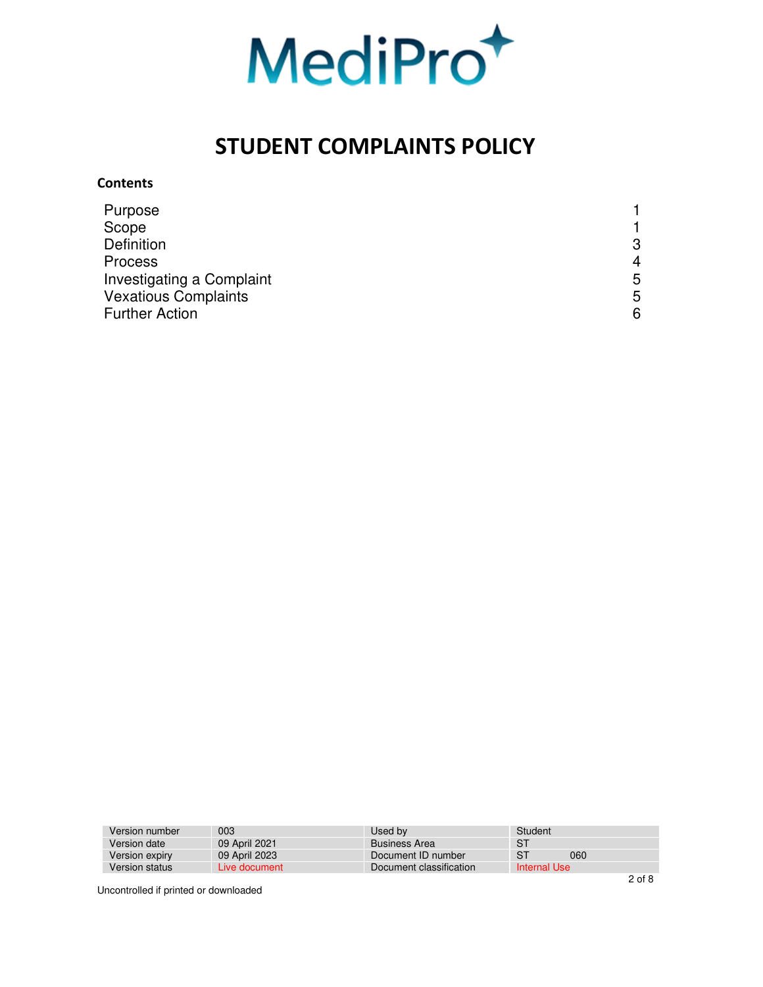

#### **Contents**

| Purpose                     |   |
|-----------------------------|---|
| Scope                       |   |
| <b>Definition</b>           | 3 |
| <b>Process</b>              | 4 |
| Investigating a Complaint   | 5 |
| <b>Vexatious Complaints</b> | 5 |
| <b>Further Action</b>       | 6 |

| 003           | Used by                 | Student        |     |              |
|---------------|-------------------------|----------------|-----|--------------|
| 09 April 2021 | <b>Business Area</b>    | S <sub>1</sub> |     |              |
| 09 April 2023 | Document ID number      | S <sup>T</sup> | 060 |              |
| Live document | Document classification |                |     |              |
|               |                         |                |     | Internal Use |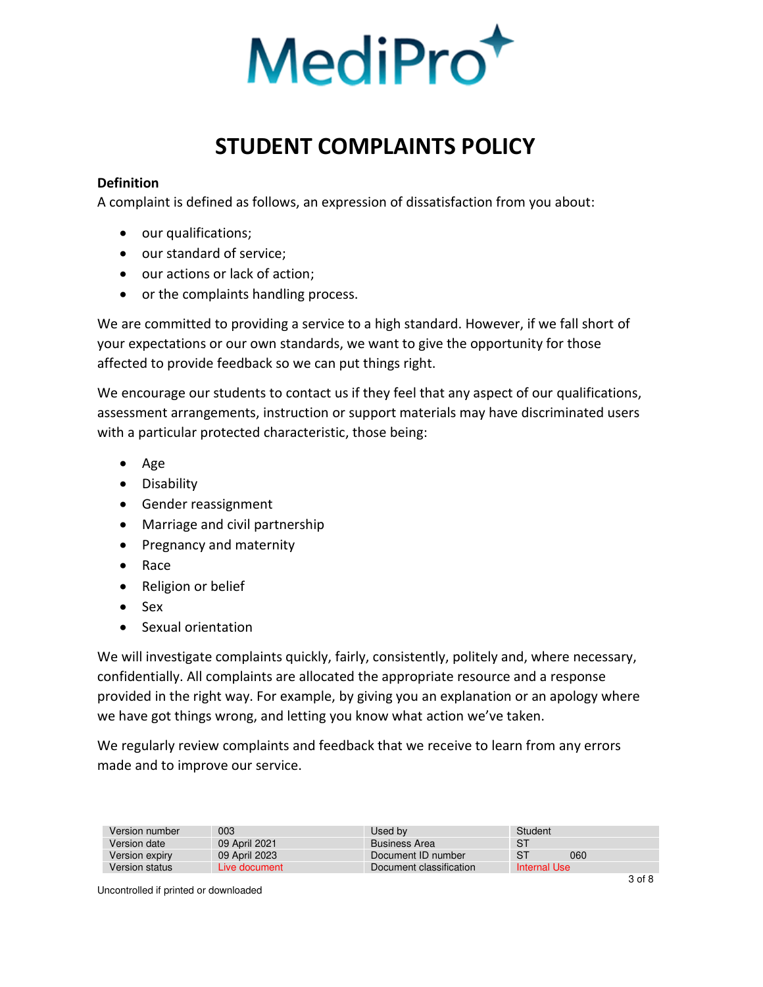

### <span id="page-2-0"></span>**Definition**

A complaint is defined as follows, an expression of dissatisfaction from you about:

- our qualifications;
- our standard of service;
- our actions or lack of action;
- or the complaints handling process.

We are committed to providing a service to a high standard. However, if we fall short of your expectations or our own standards, we want to give the opportunity for those affected to provide feedback so we can put things right.

We encourage our students to contact us if they feel that any aspect of our qualifications, assessment arrangements, instruction or support materials may have discriminated users with a particular protected characteristic, those being:

- Age
- Disability
- Gender reassignment
- Marriage and civil partnership
- Pregnancy and maternity
- Race
- Religion or belief
- Sex
- Sexual orientation

We will investigate complaints quickly, fairly, consistently, politely and, where necessary, confidentially. All complaints are allocated the appropriate resource and a response provided in the right way. For example, by giving you an explanation or an apology where we have got things wrong, and letting you know what action we've taken.

We regularly review complaints and feedback that we receive to learn from any errors made and to improve our service.

| Version number | 003           | Used by                 | Student      |
|----------------|---------------|-------------------------|--------------|
| Version date   | 09 April 2021 | <b>Business Area</b>    | S1           |
| Version expiry | 09 April 2023 | Document ID number      | -S1<br>060   |
| Version status | Live document | Document classification | Internal Use |
|                |               |                         |              |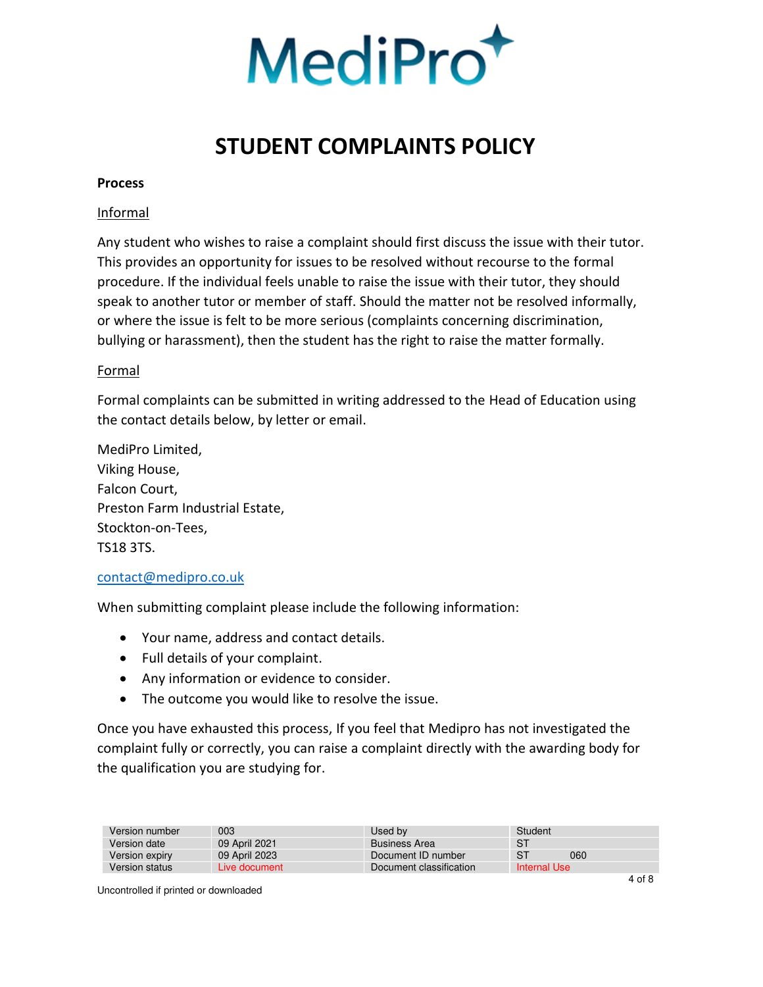

#### **Process**

#### Informal

Any student who wishes to raise a complaint should first discuss the issue with their tutor. This provides an opportunity for issues to be resolved without recourse to the formal procedure. If the individual feels unable to raise the issue with their tutor, they should speak to another tutor or member of staff. Should the matter not be resolved informally, or where the issue is felt to be more serious (complaints concerning discrimination, bullying or harassment), then the student has the right to raise the matter formally.

#### Formal

Formal complaints can be submitted in writing addressed to the Head of Education using the contact details below, by letter or email.

MediPro Limited, Viking House, Falcon Court, Preston Farm Industrial Estate, Stockton-on-Tees, TS18 3TS.

#### [contact@medipro.co.uk](mailto:contact@medipro.co.uk)

When submitting complaint please include the following information:

- Your name, address and contact details.
- Full details of your complaint.
- Any information or evidence to consider.
- The outcome you would like to resolve the issue.

Once you have exhausted this process, If you feel that Medipro has not investigated the complaint fully or correctly, you can raise a complaint directly with the awarding body for the qualification you are studying for.

| 003           | Used by                 | Student |     |              |
|---------------|-------------------------|---------|-----|--------------|
| 09 April 2021 | <b>Business Area</b>    | S1      |     |              |
| 09 April 2023 | Document ID number      | S1      | 060 |              |
| Live document | Document classification |         |     |              |
|               |                         |         |     | Internal Use |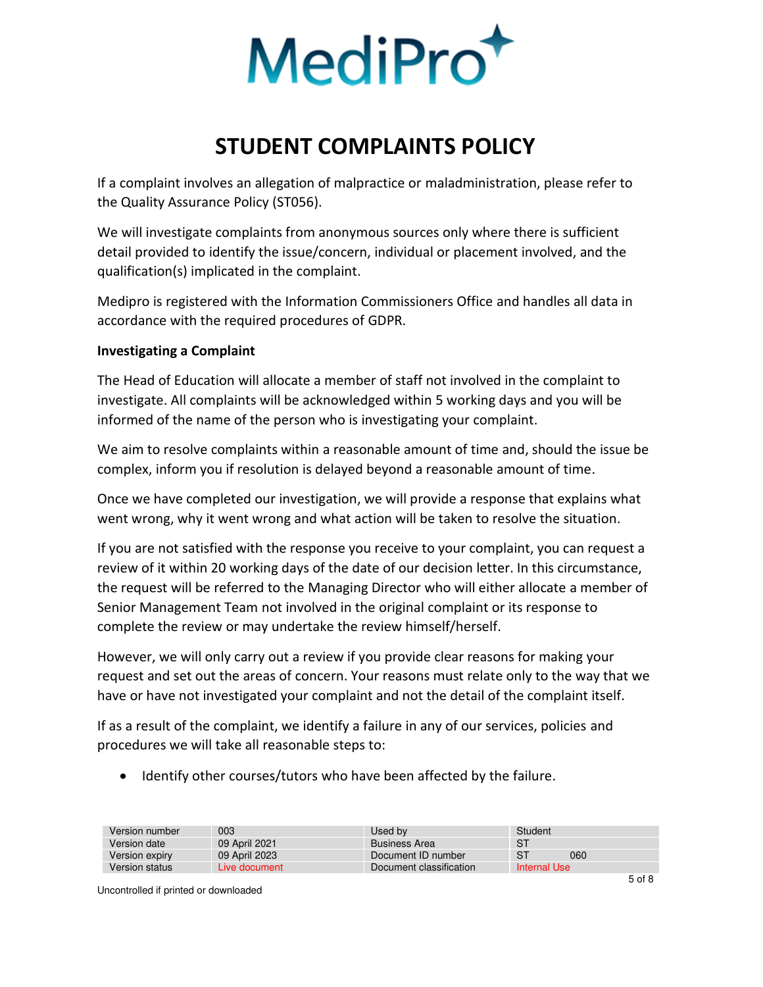

If a complaint involves an allegation of malpractice or maladministration, please refer to the Quality Assurance Policy (ST056).

We will investigate complaints from anonymous sources only where there is sufficient detail provided to identify the issue/concern, individual or placement involved, and the qualification(s) implicated in the complaint.

Medipro is registered with the Information Commissioners Office and handles all data in accordance with the required procedures of GDPR.

### <span id="page-4-0"></span>**Investigating a Complaint**

The Head of Education will allocate a member of staff not involved in the complaint to investigate. All complaints will be acknowledged within 5 working days and you will be informed of the name of the person who is investigating your complaint.

We aim to resolve complaints within a reasonable amount of time and, should the issue be complex, inform you if resolution is delayed beyond a reasonable amount of time.

Once we have completed our investigation, we will provide a response that explains what went wrong, why it went wrong and what action will be taken to resolve the situation.

If you are not satisfied with the response you receive to your complaint, you can request a review of it within 20 working days of the date of our decision letter. In this circumstance, the request will be referred to the Managing Director who will either allocate a member of Senior Management Team not involved in the original complaint or its response to complete the review or may undertake the review himself/herself.

However, we will only carry out a review if you provide clear reasons for making your request and set out the areas of concern. Your reasons must relate only to the way that we have or have not investigated your complaint and not the detail of the complaint itself.

If as a result of the complaint, we identify a failure in any of our services, policies and procedures we will take all reasonable steps to:

• Identify other courses/tutors who have been affected by the failure.

| 003           | Used by                 | Student          |
|---------------|-------------------------|------------------|
| 09 April 2021 | <b>Business Area</b>    | S <sub>1</sub>   |
| 09 April 2023 | Document ID number      | <b>ST</b><br>060 |
| Live document | Document classification | Internal Use     |
|               |                         |                  |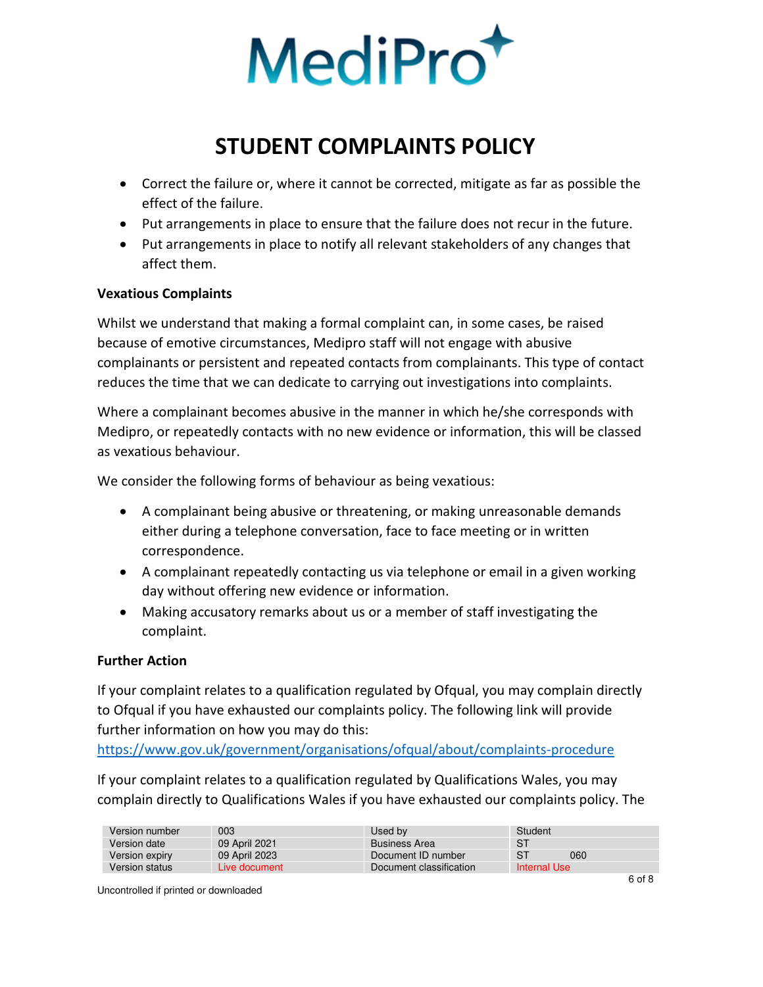

- Correct the failure or, where it cannot be corrected, mitigate as far as possible the effect of the failure.
- Put arrangements in place to ensure that the failure does not recur in the future.
- Put arrangements in place to notify all relevant stakeholders of any changes that affect them.

### <span id="page-5-0"></span>**Vexatious Complaints**

Whilst we understand that making a formal complaint can, in some cases, be raised because of emotive circumstances, Medipro staff will not engage with abusive complainants or persistent and repeated contacts from complainants. This type of contact reduces the time that we can dedicate to carrying out investigations into complaints.

Where a complainant becomes abusive in the manner in which he/she corresponds with Medipro, or repeatedly contacts with no new evidence or information, this will be classed as vexatious behaviour.

We consider the following forms of behaviour as being vexatious:

- A complainant being abusive or threatening, or making unreasonable demands either during a telephone conversation, face to face meeting or in written correspondence.
- A complainant repeatedly contacting us via telephone or email in a given working day without offering new evidence or information.
- Making accusatory remarks about us or a member of staff investigating the complaint.

### <span id="page-5-1"></span>**Further Action**

If your complaint relates to a qualification regulated by Ofqual, you may complain directly to Ofqual if you have exhausted our complaints policy. The following link will provide further information on how you may do this:

<https://www.gov.uk/government/organisations/ofqual/about/complaints-procedure>

If your complaint relates to a qualification regulated by Qualifications Wales, you may complain directly to Qualifications Wales if you have exhausted our complaints policy. The

| -S1<br>09 April 2021<br>Version date<br><b>Business Area</b>                   |  |
|--------------------------------------------------------------------------------|--|
|                                                                                |  |
| S <sub>1</sub><br>060<br>09 April 2023<br>Version expiry<br>Document ID number |  |
| Internal Use<br>Version status<br>Document classification<br>Live document     |  |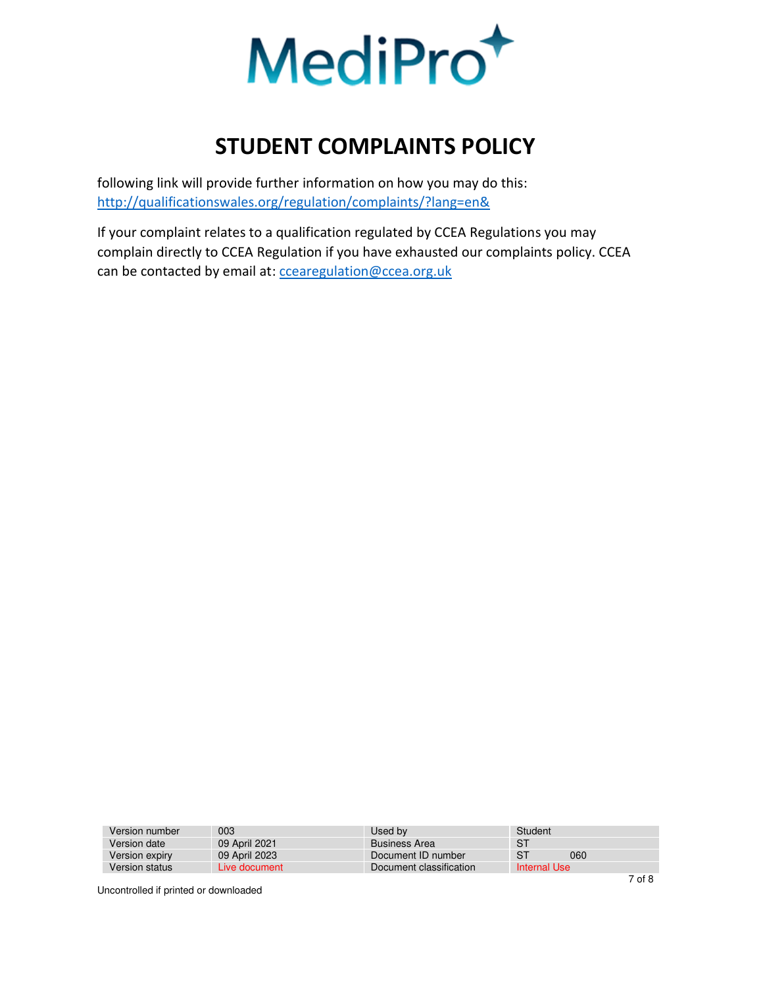

following link will provide further information on how you may do this: <http://qualificationswales.org/regulation/complaints/?lang=en&>

If your complaint relates to a qualification regulated by CCEA Regulations you may complain directly to CCEA Regulation if you have exhausted our complaints policy. CCEA can be contacted by email at: [ccearegulation@ccea.org.uk](mailto:ccearegulation@ccea.org.uk)

| Version number | 003           | Used by                 | Student               |
|----------------|---------------|-------------------------|-----------------------|
| Version date   | 09 April 2021 | <b>Business Area</b>    | -S1                   |
| Version expiry | 09 April 2023 | Document ID number      | S <sub>1</sub><br>060 |
| Version status | Live document | Document classification | Internal Use          |
|                |               |                         |                       |